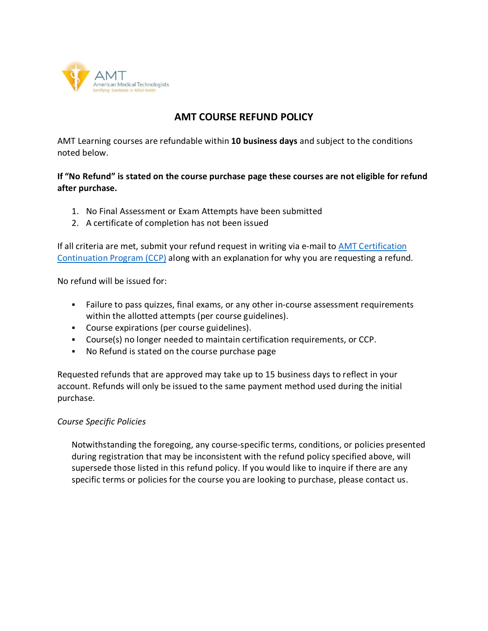

## **AMT COURSE REFUND POLICY**

AMT Learning courses are refundable within **10 business days** and subject to the conditions noted below.

## **If "No Refund" is stated on the course purchase page these courses are not eligible for refund after purchase.**

- 1. No Final Assessment or Exam Attempts have been submitted
- 2. A certificate of completion has not been issued

If all criteria are met, submit your refund request in writing via e-mail to [AMT Certification](mailto:ccp@americanmedtech.org?subject=Refund%20Request)  [Continuation Program \(CCP\)](mailto:ccp@americanmedtech.org?subject=Refund%20Request) along with an explanation for why you are requesting a refund.

No refund will be issued for:

- Failure to pass quizzes, final exams, or any other in-course assessment requirements within the allotted attempts (per course guidelines).
- Course expirations (per course guidelines).
- Course(s) no longer needed to maintain certification requirements, or CCP.
- No Refund is stated on the course purchase page

Requested refunds that are approved may take up to 15 business days to reflect in your account. Refunds will only be issued to the same payment method used during the initial purchase.

## *Course Specific Policies*

Notwithstanding the foregoing, any course-specific terms, conditions, or policies presented during registration that may be inconsistent with the refund policy specified above, will supersede those listed in this refund policy. If you would like to inquire if there are any specific terms or policies for the course you are looking to purchase, please contact us.